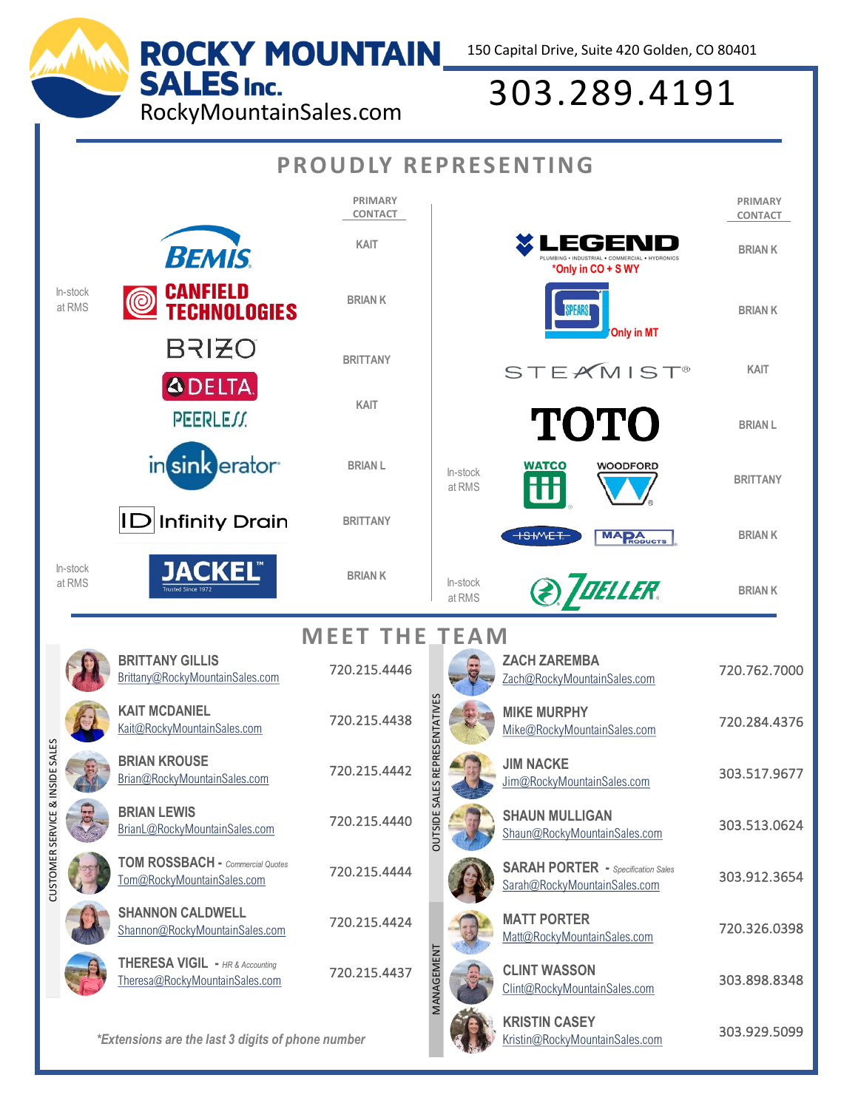150 Capital Drive, Suite 420 Golden, CO 80401

## SALES Inc. 303.289.4191<br>RockyMountainSales.com 303.289.4191

| <b>PROUDLY REPRESENTING</b>                       |                    |                                                                              |                                  |                                         |                    |                                                                           |                    |
|---------------------------------------------------|--------------------|------------------------------------------------------------------------------|----------------------------------|-----------------------------------------|--------------------|---------------------------------------------------------------------------|--------------------|
|                                                   |                    |                                                                              | <b>PRIMARY</b><br><b>CONTACT</b> |                                         |                    |                                                                           | PRIMARY<br>CONTACT |
|                                                   |                    | <b>BEMIS</b>                                                                 | <b>KAIT</b>                      |                                         |                    | EGEND<br>*Only in CO + S WY                                               | <b>BRIAN K</b>     |
|                                                   | In-stock<br>at RMS | <b>CANFIELD<br/>TECHNOLOGIES</b><br>$\circledcirc$                           | <b>BRIAN K</b>                   |                                         |                    | <b>Only in MT</b>                                                         | <b>BRIANK</b>      |
|                                                   |                    | <b>BRIZO</b>                                                                 | <b>BRITTANY</b>                  |                                         |                    | <b>STEAMIST®</b>                                                          | KAIT               |
|                                                   |                    | <b>ADELTA</b><br>PEERLEJJ.                                                   | KAIT                             |                                         |                    | <b>TOTO</b>                                                               | <b>BRIAN L</b>     |
|                                                   |                    | in sink erator <sup>®</sup>                                                  | <b>BRIAN L</b>                   |                                         | In-stock<br>at RMS | WATCO<br><b>WOODFORD</b>                                                  | <b>BRITTANY</b>    |
|                                                   |                    | <b>Infinity Drain</b><br>ID                                                  | <b>BRITTANY</b>                  |                                         |                    | $+$ S $+$ VVE $+$<br><b>MARA</b> <sub>RODUCTS</sub>                       | <b>BRIANK</b>      |
|                                                   | In-stock<br>at RMS | <b>JACKEL®</b>                                                               | <b>BRIANK</b>                    |                                         | In-stock<br>at RMS | <b>TOELLER.</b>                                                           | <b>BRIANK</b>      |
|                                                   |                    | <b>MEET THE TEAM</b>                                                         |                                  |                                         |                    |                                                                           |                    |
| IDE SALES<br>CUSTOMER SERVICE & INS               |                    | <b>BRITTANY GILLIS</b><br>Brittany@RockyMountainSales.com                    | 720.215.4446                     | REPRESENTATIVES<br><b>OUTSIDE SALES</b> |                    | <b>ZACH ZAREMBA</b><br>Zach@RockyMountainSales.com                        | 720.762.7000       |
|                                                   |                    | <b>KAIT MCDANIEL</b><br>Kait@RockyMountainSales.com                          | 720.215.4438                     |                                         |                    | <b>MIKE MURPHY</b><br>Mike@RockyMountainSales.com                         | 720.284.4376       |
|                                                   |                    | <b>BRIAN KROUSE</b><br>Brian@RockyMountainSales.com                          | 720.215.4442                     |                                         |                    | <b>JIM NACKE</b><br>Jim@RockyMountainSales.com                            | 303.517.9677       |
|                                                   |                    | <b>BRIAN LEWIS</b><br>BrianL@RockyMountainSales.com                          | 720.215.4440                     |                                         |                    | <b>SHAUN MULLIGAN</b><br>Shaun@RockyMountainSales.com                     | 303.513.0624       |
|                                                   |                    | <b>TOM ROSSBACH - Commercial Quotes</b><br>Tom@RockyMountainSales.com        | 720.215.4444                     |                                         |                    | <b>SARAH PORTER</b> - Specification Sales<br>Sarah@RockyMountainSales.com | 303.912.3654       |
|                                                   |                    | <b>SHANNON CALDWELL</b><br>Shannon@RockyMountainSales.com                    | 720.215.4424                     |                                         |                    | <b>MATT PORTER</b><br>Matt@RockyMountainSales.com                         | 720.326.0398       |
|                                                   |                    | <b>THERESA VIGIL - HR &amp; Accounting</b><br>Theresa@RockyMountainSales.com | 720.215.4437                     | MANAGEMENT                              |                    | <b>CLINT WASSON</b><br>Clint@RockyMountainSales.com                       | 303.898.8348       |
| *Extensions are the last 3 digits of phone number |                    |                                                                              |                                  |                                         |                    | <b>KRISTIN CASEY</b>                                                      |                    |